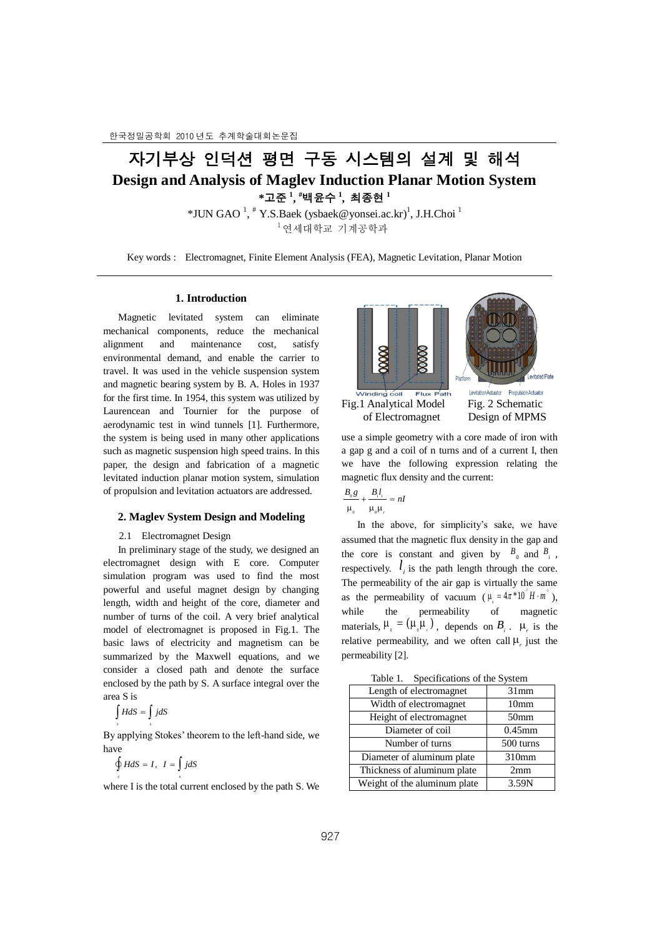# 자기부상 인덕션 평면 구동 시스템의 설계 및 해석 **Design and Analysis of Maglev Induction Planar Motion System \***고준 **<sup>1</sup> , #**백윤수 **<sup>1</sup> ,** 최종현 **<sup>1</sup>**

\*JUN GAO<sup>1</sup>, <sup>#</sup> Y.S.Baek (ysbaek@yonsei.ac.kr)<sup>1</sup>, J.H.Choi<sup>1</sup>  $1$ 여세대학교 기계공학과

Key words : Electromagnet, Finite Element Analysis (FEA), Magnetic Levitation, Planar Motion

# **1. Introduction**

Magnetic levitated system can eliminate mechanical components, reduce the mechanical alignment and maintenance cost, satisfy environmental demand, and enable the carrier to travel. It was used in the vehicle suspension system and magnetic bearing system by B. A. Holes in 1937 for the first time. In 1954, this system was utilized by Laurencean and Tournier for the purpose of aerodynamic test in wind tunnels [1]. Furthermore, the system is being used in many other applications such as magnetic suspension high speed trains. In this paper, the design and fabrication of a magnetic levitated induction planar motion system, simulation of propulsion and levitation actuators are addressed.

# **2. Maglev System Design and Modeling**

#### 2.1 Electromagnet Design

In preliminary stage of the study, we designed an electromagnet design with E core. Computer simulation program was used to find the most powerful and useful magnet design by changing length, width and height of the core, diameter and number of turns of the coil. A very brief analytical model of electromagnet is proposed in Fig.1. The basic laws of electricity and magnetism can be summarized by the Maxwell equations, and we consider a closed path and denote the surface enclosed by the path by S. A surface integral over the area S is

$$
\int_{s} H dS = \int_{s} j dS
$$

By applying Stokes' theorem to the left-hand side, we have

 $\oint H dS = I, I = \int j dS$ *c s*

where I is the total current enclosed by the path S. We



of Electromagnet Design of MPMS

use a simple geometry with a core made of iron with a gap g and a coil of n turns and of a current I, then we have the following expression relating the magnetic flux density and the current:

$$
\frac{B_0 g}{\mu_0} + \frac{B_i l_i}{\mu_0 \mu_r} = nI
$$

In the above, for simplicity's sake, we have assumed that the magnetic flux density in the gap and the core is constant and given by  $B_0$  and  $B_i$ , respectively.  $l_i$  is the path length through the core. The permeability of the air gap is virtually the same as the permeability of vacuum ( $\mu_{\alpha} = 4\pi * 10^{-7} H \cdot m^{-1}$ ), 0 while the permeability of magnetic materials,  $\mu_{\theta} = (\mu_{\theta} \mu_{r})$ , depends on  $B_{i}$ .  $\mu_{r}$  is the relative permeability, and we often call  $\mu_r$  just the permeability [2].

Table 1. Specifications of the System

| Length of electromagnet      | $31$ mm          |
|------------------------------|------------------|
| Width of electromagnet       | 10 <sub>mm</sub> |
| Height of electromagnet      | 50 <sub>mm</sub> |
| Diameter of coil             | $0.45$ mm        |
| Number of turns              | 500 turns        |
| Diameter of aluminum plate   | 310mm            |
| Thickness of aluminum plate  | 2mm              |
| Weight of the aluminum plate | 3.59N            |